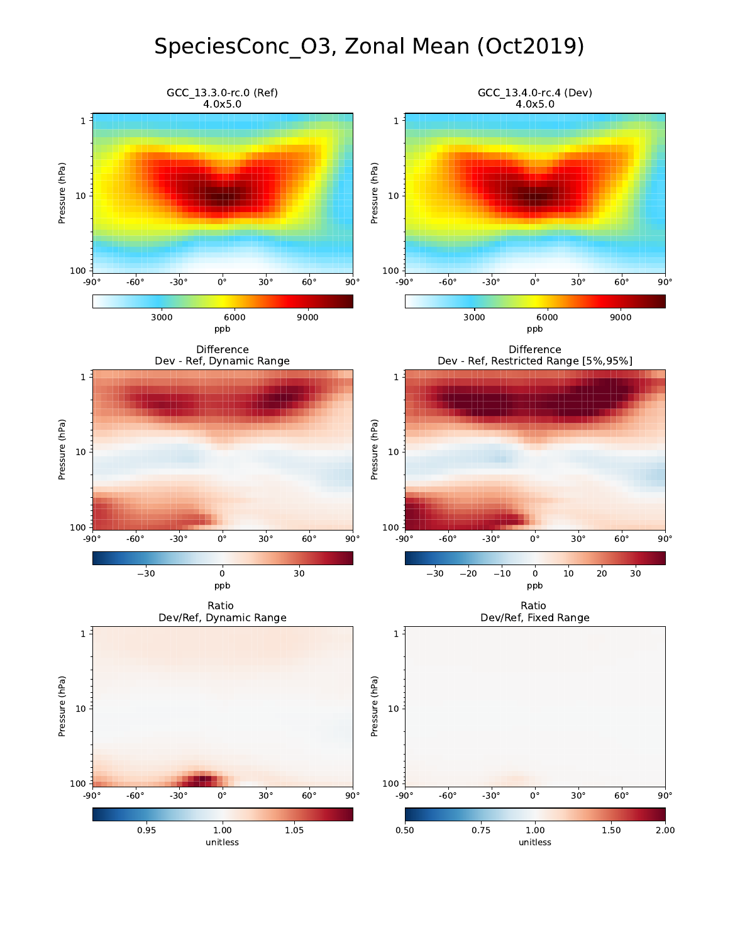## SpeciesConc\_O3, Zonal Mean (Oct2019)

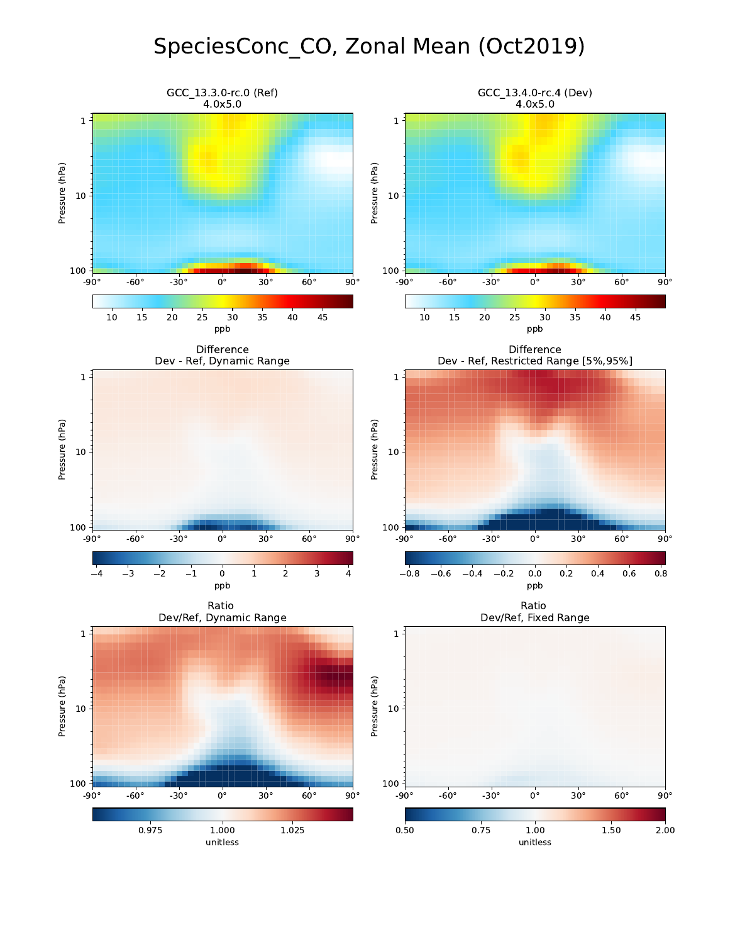## SpeciesConc\_CO, Zonal Mean (Oct2019)

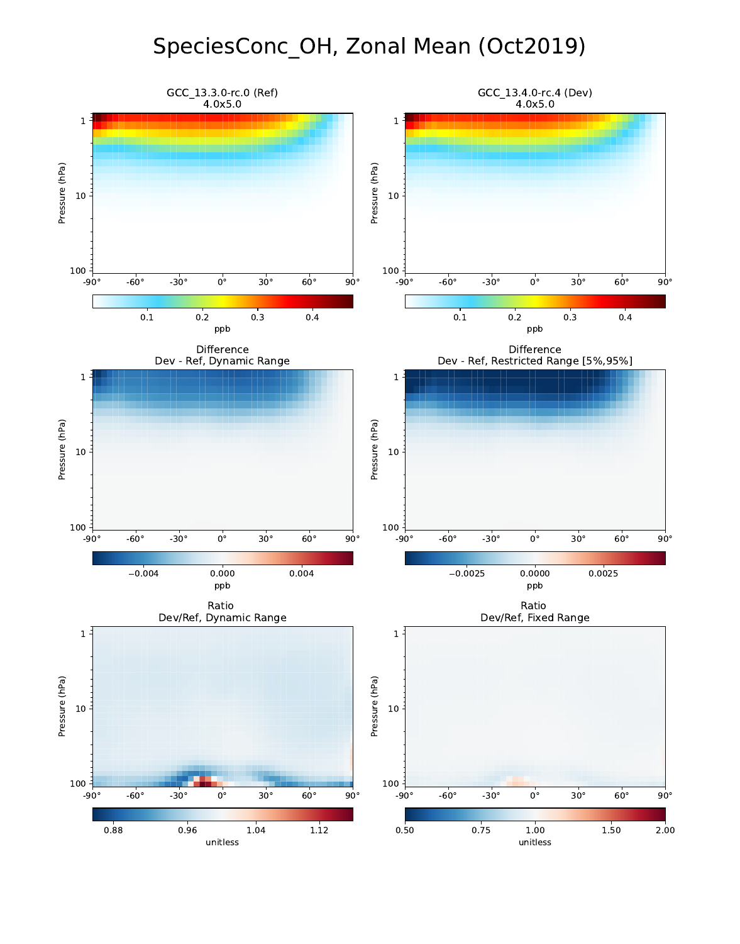## SpeciesConc\_OH, Zonal Mean (Oct2019)